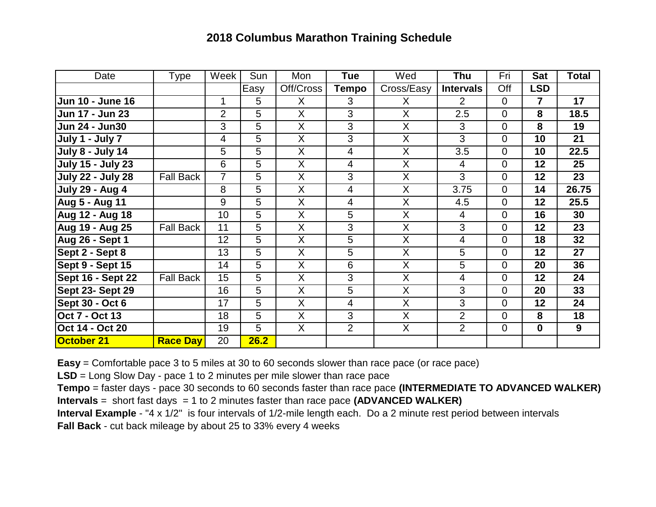## **2018 Columbus Marathon Training Schedule**

| Date                     | <b>Type</b>      | Week           | Sun  | Mon                     | <b>Tue</b>     | Wed                     | Thu              | Fri            | <b>Sat</b>     | <b>Total</b>    |
|--------------------------|------------------|----------------|------|-------------------------|----------------|-------------------------|------------------|----------------|----------------|-----------------|
|                          |                  |                | Easy | Off/Cross               | <b>Tempo</b>   | Cross/Easy              | <b>Intervals</b> | Off            | <b>LSD</b>     |                 |
| <b>Jun 10 - June 16</b>  |                  | 1              | 5    | X                       | 3              | X                       | $\overline{2}$   | $\overline{0}$ | $\overline{7}$ | 17              |
| Jun 17 - Jun 23          |                  | $\overline{2}$ | 5    | $\sf X$                 | 3              | X                       | 2.5              | $\overline{0}$ | 8              | 18.5            |
| <b>Jun 24 - Jun30</b>    |                  | 3              | 5    | X                       | 3              | X                       | 3                | $\overline{0}$ | 8              | 19              |
| July 1 - July 7          |                  | 4              | 5    | X                       | 3              | X                       | 3                | $\overline{0}$ | 10             | 21              |
| <b>July 8 - July 14</b>  |                  | 5              | 5    | X                       | 4              | $\overline{X}$          | 3.5              | $\overline{0}$ | 10             | 22.5            |
| <b>July 15 - July 23</b> |                  | 6              | 5    | $\overline{\mathsf{X}}$ | $\overline{4}$ | $\overline{\sf X}$      | 4                | $\overline{0}$ | 12             | 25              |
| <b>July 22 - July 28</b> | <b>Fall Back</b> | 7              | 5    | X                       | 3              | $\overline{\mathsf{X}}$ | 3                | $\overline{0}$ | 12             | 23              |
| <b>July 29 - Aug 4</b>   |                  | 8              | 5    | $\overline{X}$          | 4              | $\overline{X}$          | 3.75             | $\overline{0}$ | 14             | 26.75           |
| <b>Aug 5 - Aug 11</b>    |                  | 9              | 5    | $\overline{\mathsf{X}}$ | 4              | $\overline{\mathsf{X}}$ | 4.5              | $\overline{0}$ | 12             | 25.5            |
| Aug 12 - Aug 18          |                  | 10             | 5    | X                       | 5              | X                       | 4                | $\overline{0}$ | 16             | 30              |
| Aug 19 - Aug 25          | <b>Fall Back</b> | 11             | 5    | $\overline{\mathsf{X}}$ | 3              | $\overline{\mathsf{x}}$ | 3                | $\overline{0}$ | 12             | $\overline{23}$ |
| <b>Aug 26 - Sept 1</b>   |                  | 12             | 5    | X                       | 5              | X                       | 4                | $\overline{0}$ | 18             | 32              |
| Sept 2 - Sept 8          |                  | 13             | 5    | X                       | 5              | $\overline{X}$          | 5                | 0              | 12             | 27              |
| Sept 9 - Sept 15         |                  | 14             | 5    | X                       | 6              | $\overline{\mathsf{X}}$ | 5                | $\overline{0}$ | 20             | 36              |
| Sept 16 - Sept 22        | <b>Fall Back</b> | 15             | 5    | X                       | 3              | X                       | 4                | $\overline{0}$ | 12             | 24              |
| Sept 23- Sept 29         |                  | 16             | 5    | $\sf X$                 | 5              | X                       | 3                | $\overline{0}$ | 20             | 33              |
| <b>Sept 30 - Oct 6</b>   |                  | 17             | 5    | X                       | 4              | X                       | 3                | $\overline{0}$ | 12             | 24              |
| Oct 7 - Oct 13           |                  | 18             | 5    | X                       | 3              | X                       | $\overline{2}$   | $\overline{0}$ | 8              | 18              |
| Oct 14 - Oct 20          |                  | 19             | 5    | $\overline{X}$          | $\overline{2}$ | $\overline{X}$          | $\overline{2}$   | $\overline{0}$ | $\bf{0}$       | 9               |
| October 21               | <b>Race Day</b>  | 20             | 26.2 |                         |                |                         |                  |                |                |                 |

**Easy** = Comfortable pace 3 to 5 miles at 30 to 60 seconds slower than race pace (or race pace)

**LSD** = Long Slow Day - pace 1 to 2 minutes per mile slower than race pace

**Tempo** = faster days - pace 30 seconds to 60 seconds faster than race pace **(INTERMEDIATE TO ADVANCED WALKER) Intervals** = short fast days = 1 to 2 minutes faster than race pace **(ADVANCED WALKER)**

**Interval Example** - "4 x 1/2" is four intervals of 1/2-mile length each. Do a 2 minute rest period between intervals

**Fall Back** - cut back mileage by about 25 to 33% every 4 weeks